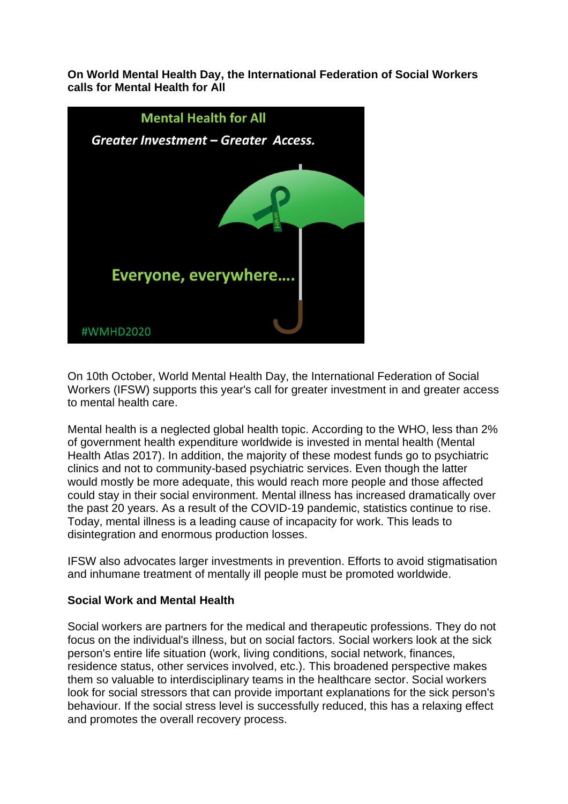**On World Mental Health Day, the International Federation of Social Workers calls for Mental Health for All**



On 10th October, World Mental Health Day, the International Federation of Social Workers (IFSW) supports this year's call for greater investment in and greater access to mental health care.

Mental health is a neglected global health topic. According to the WHO, less than 2% of government health expenditure worldwide is invested in mental health (Mental Health Atlas 2017). In addition, the majority of these modest funds go to psychiatric clinics and not to community-based psychiatric services. Even though the latter would mostly be more adequate, this would reach more people and those affected could stay in their social environment. Mental illness has increased dramatically over the past 20 years. As a result of the COVID-19 pandemic, statistics continue to rise. Today, mental illness is a leading cause of incapacity for work. This leads to disintegration and enormous production losses.

IFSW also advocates larger investments in prevention. Efforts to avoid stigmatisation and inhumane treatment of mentally ill people must be promoted worldwide.

## **Social Work and Mental Health**

Social workers are partners for the medical and therapeutic professions. They do not focus on the individual's illness, but on social factors. Social workers look at the sick person's entire life situation (work, living conditions, social network, finances, residence status, other services involved, etc.). This broadened perspective makes them so valuable to interdisciplinary teams in the healthcare sector. Social workers look for social stressors that can provide important explanations for the sick person's behaviour. If the social stress level is successfully reduced, this has a relaxing effect and promotes the overall recovery process.